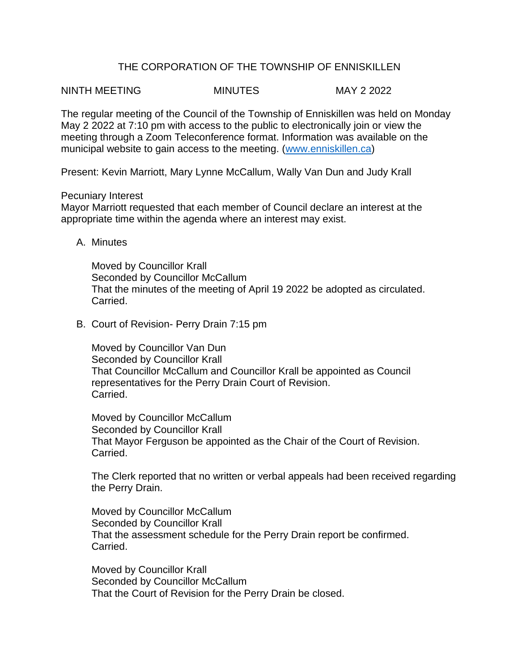## THE CORPORATION OF THE TOWNSHIP OF ENNISKILLEN

NINTH MEETING MINUTES MAY 2 2022

The regular meeting of the Council of the Township of Enniskillen was held on Monday May 2 2022 at 7:10 pm with access to the public to electronically join or view the meeting through a Zoom Teleconference format. Information was available on the municipal website to gain access to the meeting. [\(www.enniskillen.ca\)](http://www.enniskillen.ca/)

Present: Kevin Marriott, Mary Lynne McCallum, Wally Van Dun and Judy Krall

## Pecuniary Interest

Mayor Marriott requested that each member of Council declare an interest at the appropriate time within the agenda where an interest may exist.

A. Minutes

Moved by Councillor Krall Seconded by Councillor McCallum That the minutes of the meeting of April 19 2022 be adopted as circulated. Carried.

B. Court of Revision- Perry Drain 7:15 pm

Moved by Councillor Van Dun Seconded by Councillor Krall That Councillor McCallum and Councillor Krall be appointed as Council representatives for the Perry Drain Court of Revision. Carried.

Moved by Councillor McCallum Seconded by Councillor Krall That Mayor Ferguson be appointed as the Chair of the Court of Revision. Carried.

The Clerk reported that no written or verbal appeals had been received regarding the Perry Drain.

Moved by Councillor McCallum Seconded by Councillor Krall That the assessment schedule for the Perry Drain report be confirmed. Carried.

Moved by Councillor Krall Seconded by Councillor McCallum That the Court of Revision for the Perry Drain be closed.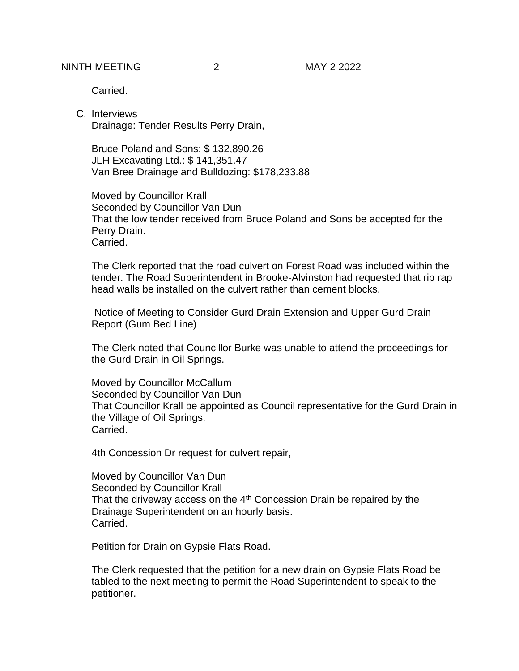**Carried** 

C. Interviews Drainage: Tender Results Perry Drain,

Bruce Poland and Sons: \$ 132,890.26 JLH Excavating Ltd.: \$ 141,351.47 Van Bree Drainage and Bulldozing: \$178,233.88

Moved by Councillor Krall Seconded by Councillor Van Dun That the low tender received from Bruce Poland and Sons be accepted for the Perry Drain. Carried.

The Clerk reported that the road culvert on Forest Road was included within the tender. The Road Superintendent in Brooke-Alvinston had requested that rip rap head walls be installed on the culvert rather than cement blocks.

Notice of Meeting to Consider Gurd Drain Extension and Upper Gurd Drain Report (Gum Bed Line)

The Clerk noted that Councillor Burke was unable to attend the proceedings for the Gurd Drain in Oil Springs.

Moved by Councillor McCallum Seconded by Councillor Van Dun That Councillor Krall be appointed as Council representative for the Gurd Drain in the Village of Oil Springs. Carried.

4th Concession Dr request for culvert repair,

Moved by Councillor Van Dun Seconded by Councillor Krall That the driveway access on the  $4<sup>th</sup>$  Concession Drain be repaired by the Drainage Superintendent on an hourly basis. Carried.

Petition for Drain on Gypsie Flats Road.

The Clerk requested that the petition for a new drain on Gypsie Flats Road be tabled to the next meeting to permit the Road Superintendent to speak to the petitioner.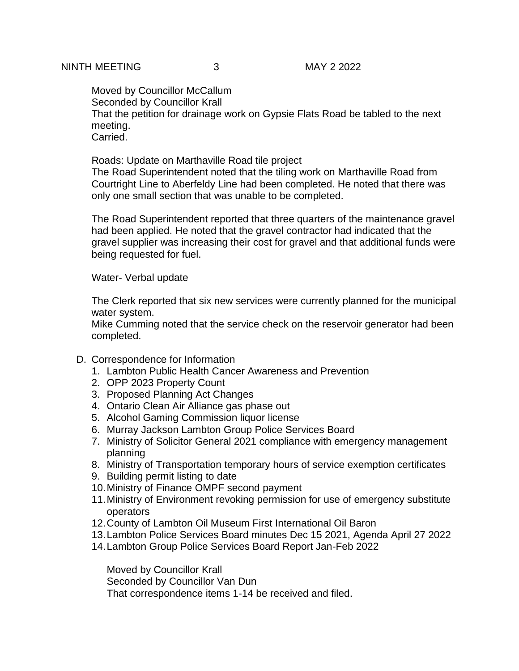Moved by Councillor McCallum Seconded by Councillor Krall That the petition for drainage work on Gypsie Flats Road be tabled to the next meeting. **Carried** 

Roads: Update on Marthaville Road tile project

The Road Superintendent noted that the tiling work on Marthaville Road from Courtright Line to Aberfeldy Line had been completed. He noted that there was only one small section that was unable to be completed.

The Road Superintendent reported that three quarters of the maintenance gravel had been applied. He noted that the gravel contractor had indicated that the gravel supplier was increasing their cost for gravel and that additional funds were being requested for fuel.

Water- Verbal update

The Clerk reported that six new services were currently planned for the municipal water system.

Mike Cumming noted that the service check on the reservoir generator had been completed.

- D. Correspondence for Information
	- 1. Lambton Public Health Cancer Awareness and Prevention
	- 2. OPP 2023 Property Count
	- 3. Proposed Planning Act Changes
	- 4. Ontario Clean Air Alliance gas phase out
	- 5. Alcohol Gaming Commission liquor license
	- 6. Murray Jackson Lambton Group Police Services Board
	- 7. Ministry of Solicitor General 2021 compliance with emergency management planning
	- 8. Ministry of Transportation temporary hours of service exemption certificates
	- 9. Building permit listing to date
	- 10.Ministry of Finance OMPF second payment
	- 11.Ministry of Environment revoking permission for use of emergency substitute operators
	- 12.County of Lambton Oil Museum First International Oil Baron
	- 13.Lambton Police Services Board minutes Dec 15 2021, Agenda April 27 2022
	- 14.Lambton Group Police Services Board Report Jan-Feb 2022

Moved by Councillor Krall Seconded by Councillor Van Dun That correspondence items 1-14 be received and filed.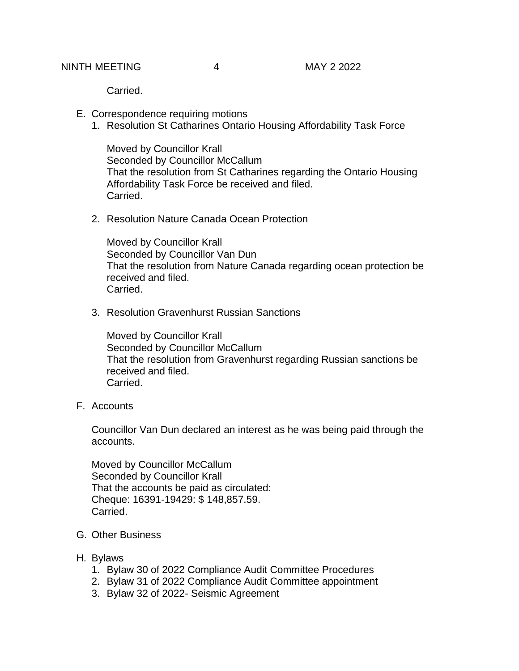Carried.

- E. Correspondence requiring motions
	- 1. Resolution St Catharines Ontario Housing Affordability Task Force

Moved by Councillor Krall Seconded by Councillor McCallum That the resolution from St Catharines regarding the Ontario Housing Affordability Task Force be received and filed. Carried.

2. Resolution Nature Canada Ocean Protection

Moved by Councillor Krall Seconded by Councillor Van Dun That the resolution from Nature Canada regarding ocean protection be received and filed. Carried.

3. Resolution Gravenhurst Russian Sanctions

Moved by Councillor Krall Seconded by Councillor McCallum That the resolution from Gravenhurst regarding Russian sanctions be received and filed. Carried.

F. Accounts

Councillor Van Dun declared an interest as he was being paid through the accounts.

Moved by Councillor McCallum Seconded by Councillor Krall That the accounts be paid as circulated: Cheque: 16391-19429: \$ 148,857.59. Carried.

- G. Other Business
- H. Bylaws
	- 1. Bylaw 30 of 2022 Compliance Audit Committee Procedures
	- 2. Bylaw 31 of 2022 Compliance Audit Committee appointment
	- 3. Bylaw 32 of 2022- Seismic Agreement